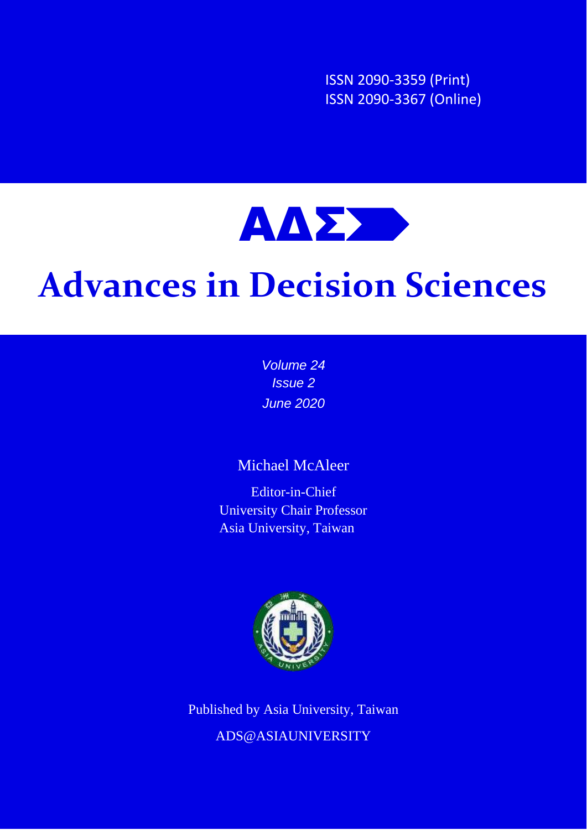ISSN 2090-3359 (Print) ISSN 2090-3367 (Online)



# **Advances in Decision Sciences**

*Volume 24 Issue 2 June 2020*

# Michael McAleer

Editor-in-Chief University Chair Professor Asia University, Taiwan



Published by Asia University, Taiwan ADS@ASIAUNIVERSITY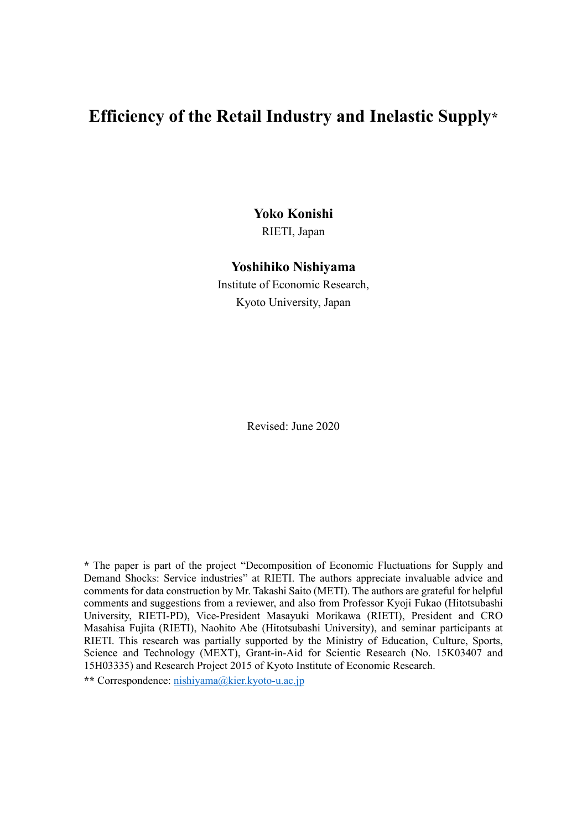# **Efficiency of the Retail Industry and Inelastic Supply\***

**Yoko Konishi**

RIETI, Japan

#### **Yoshihiko Nishiyama**

Institute of Economic Research, Kyoto University, Japan

Revised: June 2020

**\*** The paper is part of the project "Decomposition of Economic Fluctuations for Supply and Demand Shocks: Service industries" at RIETI. The authors appreciate invaluable advice and comments for data construction by Mr. Takashi Saito (METI). The authors are grateful for helpful comments and suggestions from a reviewer, and also from Professor Kyoji Fukao (Hitotsubashi University, RIETI-PD), Vice-President Masayuki Morikawa (RIETI), President and CRO Masahisa Fujita (RIETI), Naohito Abe (Hitotsubashi University), and seminar participants at RIETI. This research was partially supported by the Ministry of Education, Culture, Sports, Science and Technology (MEXT), Grant-in-Aid for Scientic Research (No. 15K03407 and 15H03335) and Research Project 2015 of Kyoto Institute of Economic Research.

**\*\*** Correspondence: [nishiyama@kier.kyoto-u.ac.jp](mailto:nishiyama@kier.kyoto-u.ac.jp)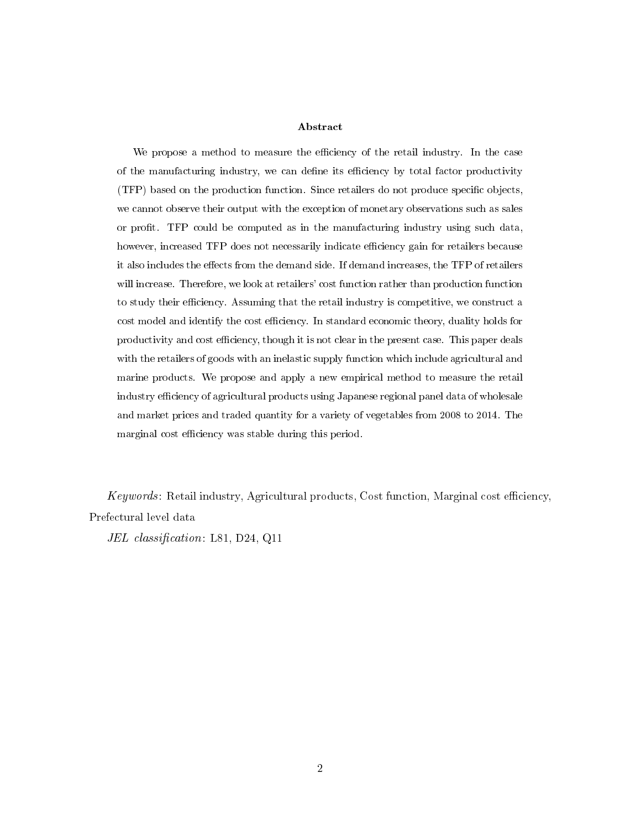#### Abstract

We propose a method to measure the efficiency of the retail industry. In the case of the manufacturing industry, we can define its efficiency by total factor productivity (TFP) based on the production function. Since retailers do not produce specic objects, we cannot observe their output with the exception of monetary observations such as sales or prot. TFP could be computed as in the manufacturing industry using such data, however, increased TFP does not necessarily indicate efficiency gain for retailers because it also includes the effects from the demand side. If demand increases, the TFP of retailers will increase. Therefore, we look at retailers' cost function rather than production function to study their efficiency. Assuming that the retail industry is competitive, we construct a cost model and identify the cost efficiency. In standard economic theory, duality holds for productivity and cost efficiency, though it is not clear in the present case. This paper deals with the retailers of goods with an inelastic supply function which include agricultural and marine products. We propose and apply a new empirical method to measure the retail industry efficiency of agricultural products using Japanese regional panel data of wholesale and market prices and traded quantity for a variety of vegetables from 2008 to 2014. The marginal cost efficiency was stable during this period.

 $Keywords:$  Retail industry, Agricultural products, Cost function, Marginal cost efficiency, Prefectural level data

JEL classification: L81, D24, Q11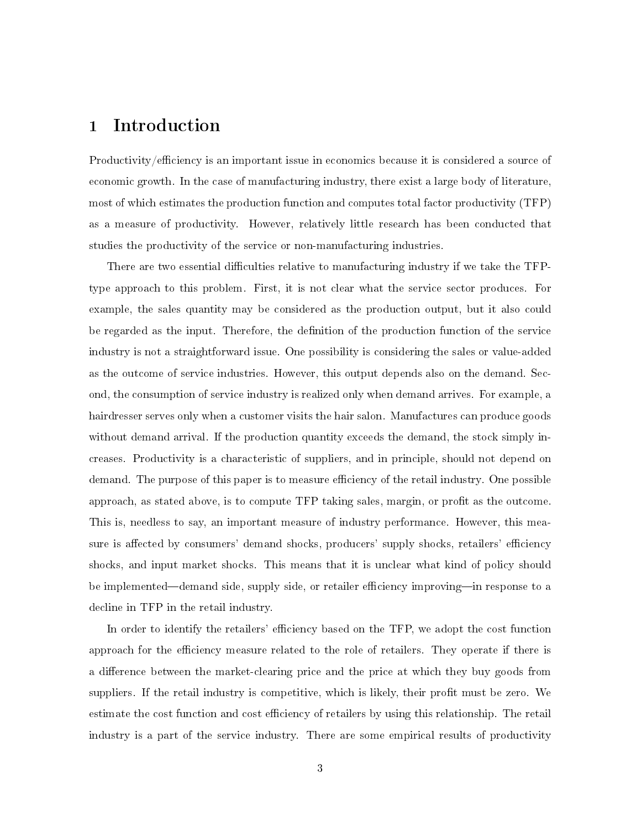## 1 Introduction

Productivity/efficiency is an important issue in economics because it is considered a source of economic growth. In the case of manufacturing industry, there exist a large body of literature, most of which estimates the production function and computes total factor productivity (TFP) as a measure of productivity. However, relatively little research has been conducted that studies the productivity of the service or non-manufacturing industries.

There are two essential difficulties relative to manufacturing industry if we take the TFPtype approach to this problem. First, it is not clear what the service sector produces. For example, the sales quantity may be considered as the production output, but it also could be regarded as the input. Therefore, the denition of the production function of the service industry is not a straightforward issue. One possibility is considering the sales or value-added as the outcome of service industries. However, this output depends also on the demand. Second, the consumption of service industry is realized only when demand arrives. For example, a hairdresser serves only when a customer visits the hair salon. Manufactures can produce goods without demand arrival. If the production quantity exceeds the demand, the stock simply increases. Productivity is a characteristic of suppliers, and in principle, should not depend on demand. The purpose of this paper is to measure efficiency of the retail industry. One possible approach, as stated above, is to compute TFP taking sales, margin, or profit as the outcome. This is, needless to say, an important measure of industry performance. However, this measure is affected by consumers' demand shocks, producers' supply shocks, retailers' efficiency shocks, and input market shocks. This means that it is unclear what kind of policy should be implemented—demand side, supply side, or retailer efficiency improving—in response to a decline in TFP in the retail industry.

In order to identify the retailers' efficiency based on the TFP, we adopt the cost function approach for the efficiency measure related to the role of retailers. They operate if there is a difference between the market-clearing price and the price at which they buy goods from suppliers. If the retail industry is competitive, which is likely, their profit must be zero. We estimate the cost function and cost efficiency of retailers by using this relationship. The retail industry is a part of the service industry. There are some empirical results of productivity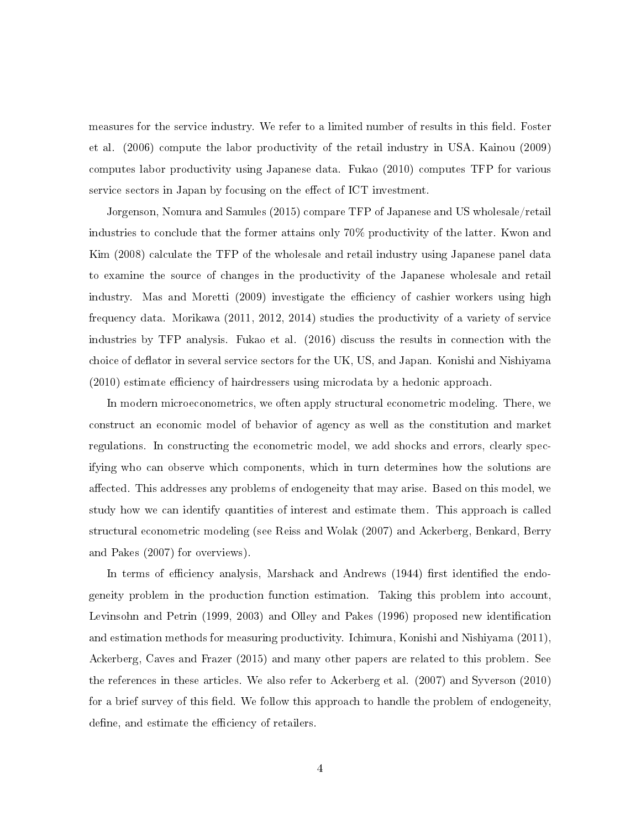measures for the service industry. We refer to a limited number of results in this field. Foster et al. (2006) compute the labor productivity of the retail industry in USA. Kainou (2009) computes labor productivity using Japanese data. Fukao (2010) computes TFP for various service sectors in Japan by focusing on the effect of ICT investment.

Jorgenson, Nomura and Samules (2015) compare TFP of Japanese and US wholesale/retail industries to conclude that the former attains only 70% productivity of the latter. Kwon and Kim (2008) calculate the TFP of the wholesale and retail industry using Japanese panel data to examine the source of changes in the productivity of the Japanese wholesale and retail industry. Mas and Moretti (2009) investigate the efficiency of cashier workers using high frequency data. Morikawa (2011, 2012, 2014) studies the productivity of a variety of service industries by TFP analysis. Fukao et al. (2016) discuss the results in connection with the choice of deflator in several service sectors for the UK, US, and Japan. Konishi and Nishiyama  $(2010)$  estimate efficiency of hairdressers using microdata by a hedonic approach.

In modern microeconometrics, we often apply structural econometric modeling. There, we construct an economic model of behavior of agency as well as the constitution and market regulations. In constructing the econometric model, we add shocks and errors, clearly specifying who can observe which components, which in turn determines how the solutions are affected. This addresses any problems of endogeneity that may arise. Based on this model, we study how we can identify quantities of interest and estimate them. This approach is called structural econometric modeling (see Reiss and Wolak (2007) and Ackerberg, Benkard, Berry and Pakes (2007) for overviews).

In terms of efficiency analysis, Marshack and Andrews (1944) first identified the endogeneity problem in the production function estimation. Taking this problem into account, Levinsohn and Petrin (1999, 2003) and Olley and Pakes (1996) proposed new identification and estimation methods for measuring productivity. Ichimura, Konishi and Nishiyama (2011), Ackerberg, Caves and Frazer (2015) and many other papers are related to this problem. See the references in these articles. We also refer to Ackerberg et al. (2007) and Syverson (2010) for a brief survey of this field. We follow this approach to handle the problem of endogeneity, define, and estimate the efficiency of retailers.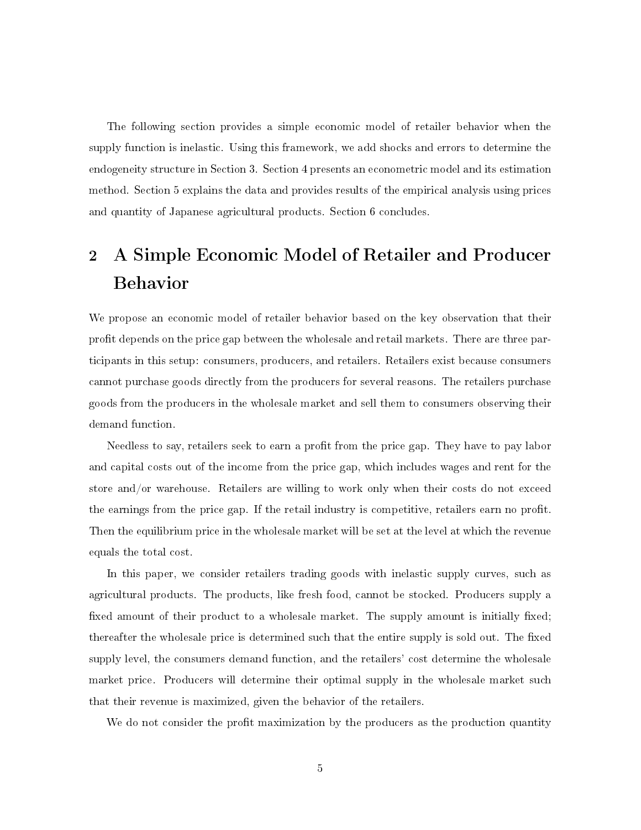The following section provides a simple economic model of retailer behavior when the supply function is inelastic. Using this framework, we add shocks and errors to determine the endogeneity structure in Section 3. Section 4 presents an econometric model and its estimation method. Section 5 explains the data and provides results of the empirical analysis using prices and quantity of Japanese agricultural products. Section 6 concludes.

# 2 A Simple Economic Model of Retailer and Producer Behavior

We propose an economic model of retailer behavior based on the key observation that their prot depends on the price gap between the wholesale and retail markets. There are three participants in this setup: consumers, producers, and retailers. Retailers exist because consumers cannot purchase goods directly from the producers for several reasons. The retailers purchase goods from the producers in the wholesale market and sell them to consumers observing their demand function.

Needless to say, retailers seek to earn a profit from the price gap. They have to pay labor and capital costs out of the income from the price gap, which includes wages and rent for the store and/or warehouse. Retailers are willing to work only when their costs do not exceed the earnings from the price gap. If the retail industry is competitive, retailers earn no prot. Then the equilibrium price in the wholesale market will be set at the level at which the revenue equals the total cost.

In this paper, we consider retailers trading goods with inelastic supply curves, such as agricultural products. The products, like fresh food, cannot be stocked. Producers supply a fixed amount of their product to a wholesale market. The supply amount is initially fixed; thereafter the wholesale price is determined such that the entire supply is sold out. The fixed supply level, the consumers demand function, and the retailers' cost determine the wholesale market price. Producers will determine their optimal supply in the wholesale market such that their revenue is maximized, given the behavior of the retailers.

We do not consider the profit maximization by the producers as the production quantity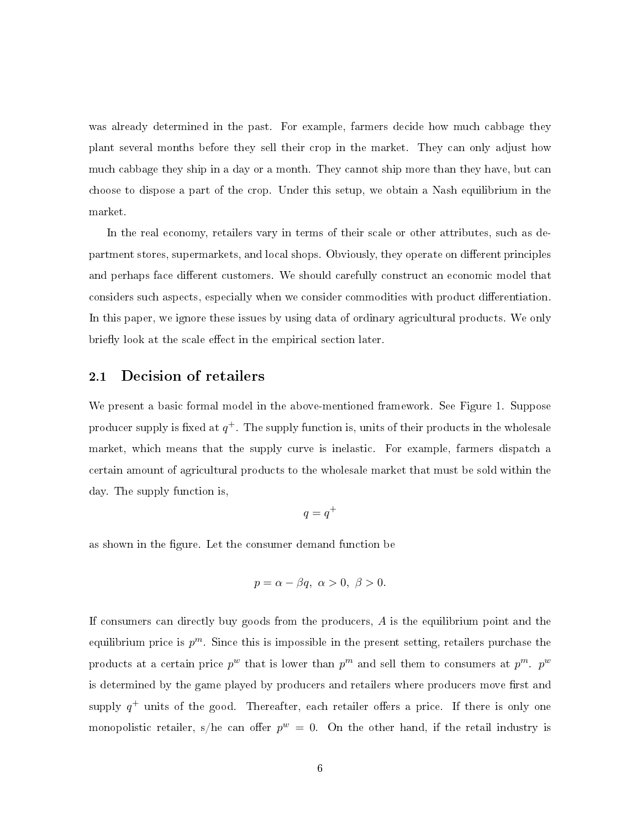was already determined in the past. For example, farmers decide how much cabbage they plant several months before they sell their crop in the market. They can only adjust how much cabbage they ship in a day or a month. They cannot ship more than they have, but can choose to dispose a part of the crop. Under this setup, we obtain a Nash equilibrium in the market.

In the real economy, retailers vary in terms of their scale or other attributes, such as department stores, supermarkets, and local shops. Obviously, they operate on different principles and perhaps face different customers. We should carefully construct an economic model that considers such aspects, especially when we consider commodities with product differentiation. In this paper, we ignore these issues by using data of ordinary agricultural products. We only briefly look at the scale effect in the empirical section later.

#### 2.1 Decision of retailers

We present a basic formal model in the above-mentioned framework. See Figure 1. Suppose producer supply is fixed at  $q^+$ . The supply function is, units of their products in the wholesale market, which means that the supply curve is inelastic. For example, farmers dispatch a certain amount of agricultural products to the wholesale market that must be sold within the day. The supply function is,

$$
q = q^+
$$

as shown in the figure. Let the consumer demand function be

$$
p = \alpha - \beta q, \ \alpha > 0, \ \beta > 0.
$$

If consumers can directly buy goods from the producers,  $A$  is the equilibrium point and the equilibrium price is  $p^m$ . Since this is impossible in the present setting, retailers purchase the products at a certain price  $p^w$  that is lower than  $p^m$  and sell them to consumers at  $p^m$ .  $p^w$ is determined by the game played by producers and retailers where producers move first and supply  $q^+$  units of the good. Thereafter, each retailer offers a price. If there is only one monopolistic retailer, s/he can offer  $p^w = 0$ . On the other hand, if the retail industry is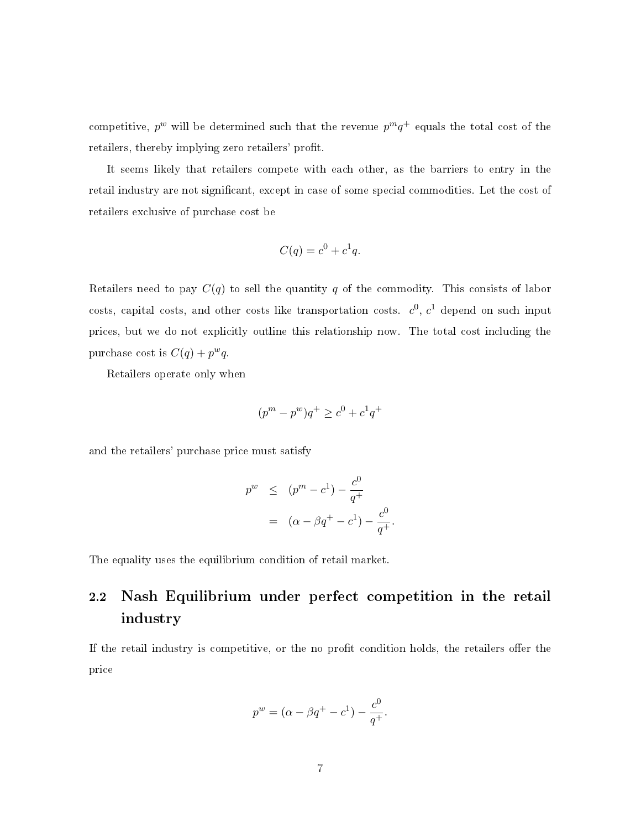competitive,  $p^w$  will be determined such that the revenue  $p^mq^+$  equals the total cost of the retailers, thereby implying zero retailers' profit.

It seems likely that retailers compete with each other, as the barriers to entry in the retail industry are not significant, except in case of some special commodities. Let the cost of retailers exclusive of purchase cost be

$$
C(q) = c^0 + c^1 q.
$$

Retailers need to pay  $C(q)$  to sell the quantity q of the commodity. This consists of labor costs, capital costs, and other costs like transportation costs.  $c^0$ ,  $c^1$  depend on such input prices, but we do not explicitly outline this relationship now. The total cost including the purchase cost is  $C(q) + p^{w}q$ .

Retailers operate only when

$$
(p^{m} - p^{w})q^{+} \geq c^{0} + c^{1}q^{+}
$$

and the retailers' purchase price must satisfy

$$
p^{w} \le (p^{m} - c^{1}) - \frac{c^{0}}{q^{+}}
$$
  
=  $(\alpha - \beta q^{+} - c^{1}) - \frac{c^{0}}{q^{+}}.$ 

The equality uses the equilibrium condition of retail market.

# 2.2 Nash Equilibrium under perfect competition in the retail industry

If the retail industry is competitive, or the no profit condition holds, the retailers offer the price

$$
p^{w} = (\alpha - \beta q^{+} - c^{1}) - \frac{c^{0}}{q^{+}}.
$$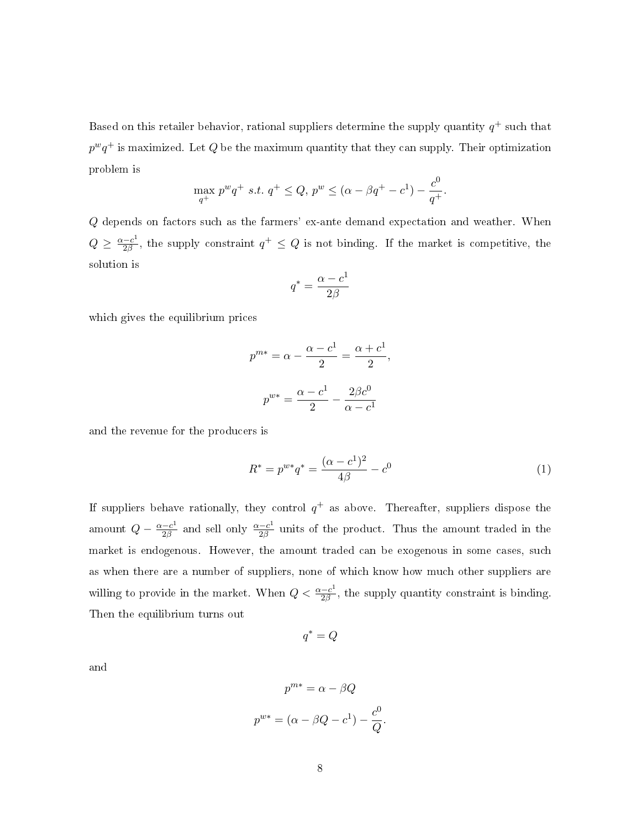Based on this retailer behavior, rational suppliers determine the supply quantity  $q^+$  such that  $p^wq^+$  is maximized. Let  $Q$  be the maximum quantity that they can supply. Their optimization problem is

$$
\max_{q^{+}} p^{w} q^{+} \ s.t. \ q^{+} \leq Q, \ p^{w} \leq (\alpha - \beta q^{+} - c^{1}) - \frac{c^{0}}{q^{+}}
$$

Q depends on factors such as the farmers' ex-ante demand expectation and weather. When  $Q \geq \frac{\alpha - c^1}{2\beta}$  $\frac{-c^1}{2\beta}$ , the supply constraint  $q^+ \leq Q$  is not binding. If the market is competitive, the solution is

$$
q^*=\frac{\alpha-c^1}{2\beta}
$$

which gives the equilibrium prices

$$
p^{m*} = \alpha - \frac{\alpha - c^1}{2} = \frac{\alpha + c^1}{2},
$$

$$
p^{w*} = \frac{\alpha - c^1}{2} - \frac{2\beta c^0}{\alpha - c^1}
$$

and the revenue for the producers is

$$
R^* = p^{w*}q^* = \frac{(\alpha - c^1)^2}{4\beta} - c^0
$$
 (1)

.

If suppliers behave rationally, they control  $q^+$  as above. Thereafter, suppliers dispose the amount  $Q - \frac{\alpha - c^1}{2\beta}$  $\frac{-c^1}{2\beta}$  and sell only  $\frac{\alpha-c^1}{2\beta}$  $\frac{-c^{2}}{2\beta}$  units of the product. Thus the amount traded in the market is endogenous. However, the amount traded can be exogenous in some cases, such as when there are a number of suppliers, none of which know how much other suppliers are willing to provide in the market. When  $Q < \frac{\alpha - c^{1}}{2\beta}$  $\frac{-c^{2}}{2\beta}$ , the supply quantity constraint is binding. Then the equilibrium turns out

$$
q^* = Q
$$

and

$$
p^{m*} = \alpha - \beta Q
$$

$$
p^{w*} = (\alpha - \beta Q - c^1) - \frac{c^0}{Q}.
$$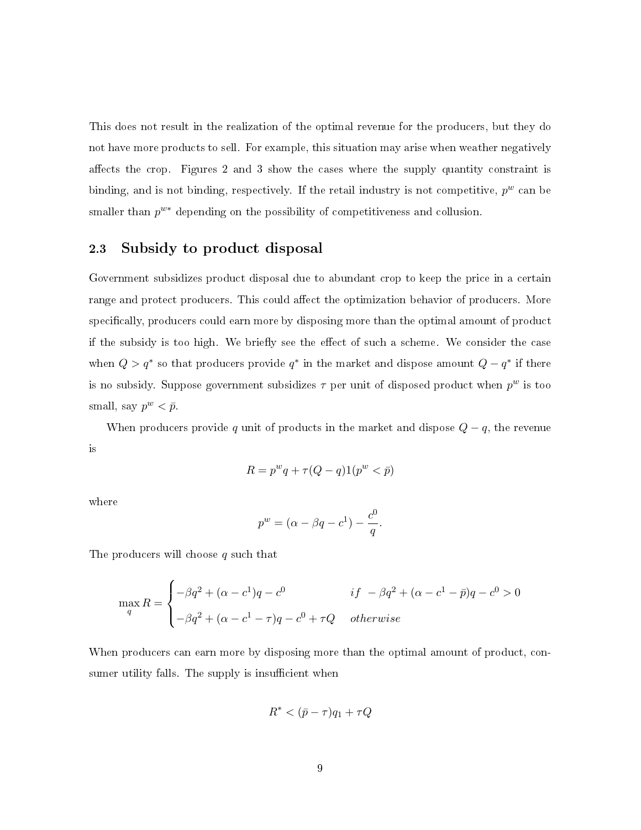This does not result in the realization of the optimal revenue for the producers, but they do not have more products to sell. For example, this situation may arise when weather negatively affects the crop. Figures 2 and 3 show the cases where the supply quantity constraint is binding, and is not binding, respectively. If the retail industry is not competitive,  $p^w$  can be smaller than  $p^{w*}$  depending on the possibility of competitiveness and collusion.

#### 2.3 Subsidy to product disposal

Government subsidizes product disposal due to abundant crop to keep the price in a certain range and protect producers. This could affect the optimization behavior of producers. More specifically, producers could earn more by disposing more than the optimal amount of product if the subsidy is too high. We briefly see the effect of such a scheme. We consider the case when  $Q > q^*$  so that producers provide  $q^*$  in the market and dispose amount  $Q - q^*$  if there is no subsidy. Suppose government subsidizes  $\tau$  per unit of disposed product when  $p^w$  is too small, say  $p^w < \bar{p}$ .

When producers provide q unit of products in the market and dispose  $Q - q$ , the revenue is

$$
R = pwq + \tau(Q - q)1(pw < \bar{p})
$$

where

$$
p^w = (\alpha - \beta q - c^1) - \frac{c^0}{q}.
$$

The producers will choose q such that

$$
\max_{q} R = \begin{cases}\n-\beta q^2 + (\alpha - c^1)q - c^0 & \text{if } -\beta q^2 + (\alpha - c^1 - \bar{p})q - c^0 > 0 \\
-\beta q^2 + (\alpha - c^1 - \tau)q - c^0 + \tau Q & \text{otherwise}\n\end{cases}
$$

When producers can earn more by disposing more than the optimal amount of product, consumer utility falls. The supply is insufficient when

$$
R^* < (\bar{p} - \tau)q_1 + \tau Q
$$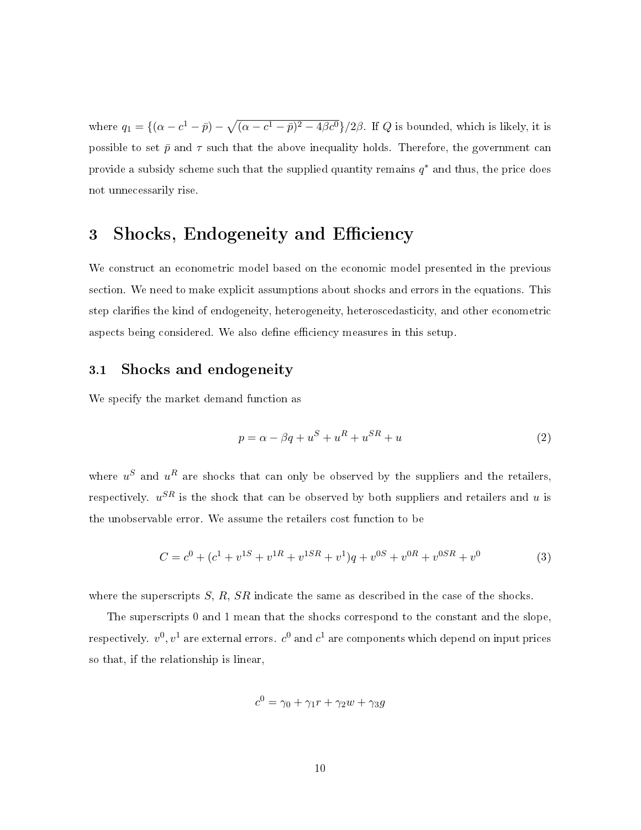where  $q_1 = \{(\alpha - c^1 - \bar{p}) - \sqrt{(\alpha - c^1 - \bar{p})^2 - 4\beta c^0}\}/2\beta$ . If Q is bounded, which is likely, it is possible to set  $\bar{p}$  and  $\tau$  such that the above inequality holds. Therefore, the government can provide a subsidy scheme such that the supplied quantity remains  $q^*$  and thus, the price does not unnecessarily rise.

# 3 Shocks, Endogeneity and Efficiency

We construct an econometric model based on the economic model presented in the previous section. We need to make explicit assumptions about shocks and errors in the equations. This step clarifies the kind of endogeneity, heterogeneity, heteroscedasticity, and other econometric aspects being considered. We also define efficiency measures in this setup.

#### 3.1 Shocks and endogeneity

We specify the market demand function as

$$
p = \alpha - \beta q + u^S + u^R + u^{SR} + u \tag{2}
$$

where  $u^S$  and  $u^R$  are shocks that can only be observed by the suppliers and the retailers, respectively.  $u^{SR}$  is the shock that can be observed by both suppliers and retailers and  $u$  is the unobservable error. We assume the retailers cost function to be

$$
C = c^{0} + (c^{1} + v^{1S} + v^{1R} + v^{1SR} + v^{1})q + v^{0S} + v^{0R} + v^{0SR} + v^{0}
$$
\n(3)

where the superscripts  $S, R, SR$  indicate the same as described in the case of the shocks.

The superscripts 0 and 1 mean that the shocks correspond to the constant and the slope, respectively.  $v^0,v^1$  are external errors.  $c^0$  and  $c^1$  are components which depend on input prices so that, if the relationship is linear,

$$
c^0 = \gamma_0 + \gamma_1 r + \gamma_2 w + \gamma_3 g
$$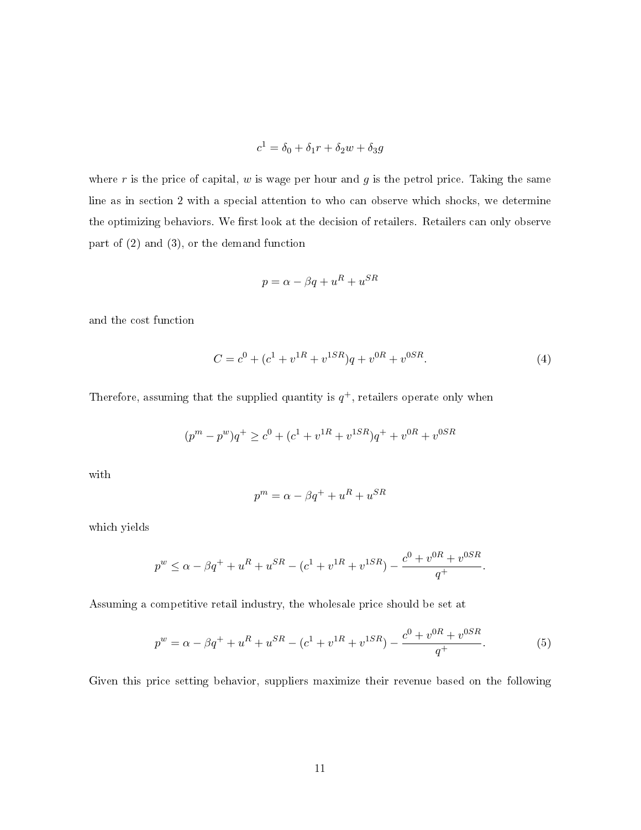$$
c^1 = \delta_0 + \delta_1 r + \delta_2 w + \delta_3 g
$$

where r is the price of capital, w is wage per hour and  $g$  is the petrol price. Taking the same line as in section 2 with a special attention to who can observe which shocks, we determine the optimizing behaviors. We first look at the decision of retailers. Retailers can only observe part of (2) and (3), or the demand function

$$
p = \alpha - \beta q + u^R + u^{SR}
$$

and the cost function

$$
C = c0 + (c1 + v1R + v1SR)q + v0R + v0SR.
$$
\n(4)

Therefore, assuming that the supplied quantity is  $q^+$ , retailers operate only when

$$
(p^{m}-p^{w})q^{+}\geq c^{0}+(c^{1}+v^{1R}+v^{1SR})q^{+}+v^{0R}+v^{0SR}
$$

with

$$
p^{m} = \alpha - \beta q^{+} + u^{R} + u^{SR}
$$

which yields

$$
p^{w} \leq \alpha - \beta q^{+} + u^{R} + u^{SR} - (c^{1} + v^{1R} + v^{1SR}) - \frac{c^{0} + v^{0R} + v^{0SR}}{q^{+}}.
$$

Assuming a competitive retail industry, the wholesale price should be set at

$$
p^{w} = \alpha - \beta q^{+} + u^{R} + u^{SR} - (c^{1} + v^{1R} + v^{1SR}) - \frac{c^{0} + v^{0R} + v^{0SR}}{q^{+}}.
$$
 (5)

Given this price setting behavior, suppliers maximize their revenue based on the following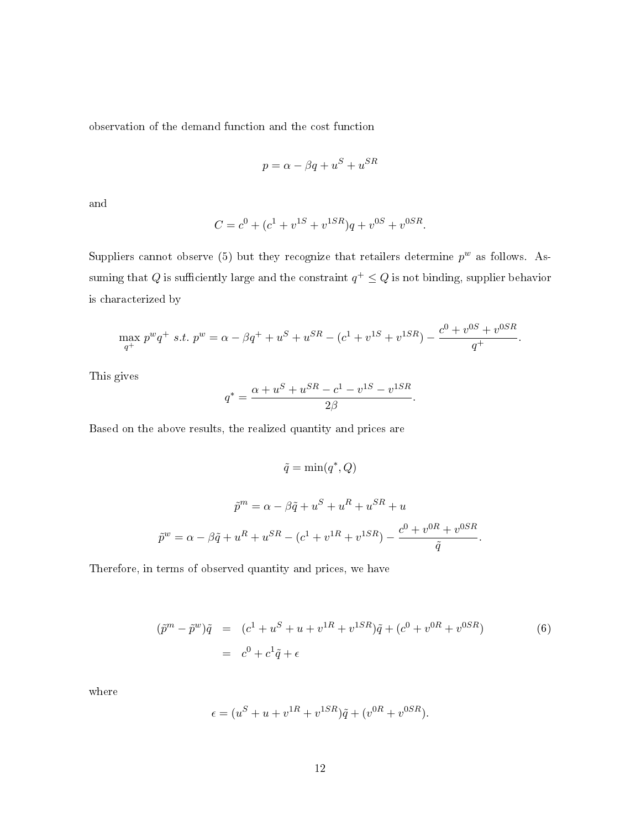observation of the demand function and the cost function

$$
p = \alpha - \beta q + u^S + u^{SR}
$$

and

$$
C = c0 + (c1 + v1S + v1SR)q + v0S + v0SR.
$$

Suppliers cannot observe (5) but they recognize that retailers determine  $p^w$  as follows. Assuming that  $Q$  is sufficiently large and the constraint  $q^+ \leq Q$  is not binding, supplier behavior is characterized by

$$
\max_{q^{+}} p^{w} q^{+} \text{ s.t. } p^{w} = \alpha - \beta q^{+} + u^{S} + u^{SR} - (c^{1} + v^{1S} + v^{1SR}) - \frac{c^{0} + v^{0S} + v^{0SR}}{q^{+}}.
$$

This gives

$$
q^* = \frac{\alpha + u^S + u^{SR} - c^1 - v^{1S} - v^{1SR}}{2\beta}.
$$

Based on the above results, the realized quantity and prices are

$$
\tilde{q} = \min(q^*, Q)
$$
  

$$
\tilde{p}^m = \alpha - \beta \tilde{q} + u^S + u^R + u^{SR} + u
$$
  

$$
\tilde{p}^w = \alpha - \beta \tilde{q} + u^R + u^{SR} - (c^1 + v^{1R} + v^{1SR}) - \frac{c^0 + v^{0R} + v^{0SR}}{\tilde{q}}.
$$

Therefore, in terms of observed quantity and prices, we have

$$
(\tilde{p}^m - \tilde{p}^w)\tilde{q} = (c^1 + u^S + u + v^{1R} + v^{1SR})\tilde{q} + (c^0 + v^{0R} + v^{0SR})
$$
  
=  $c^0 + c^1\tilde{q} + \epsilon$  (6)

where

$$
\epsilon = (u^{S} + u + v^{1R} + v^{1SR})\tilde{q} + (v^{0R} + v^{0SR}).
$$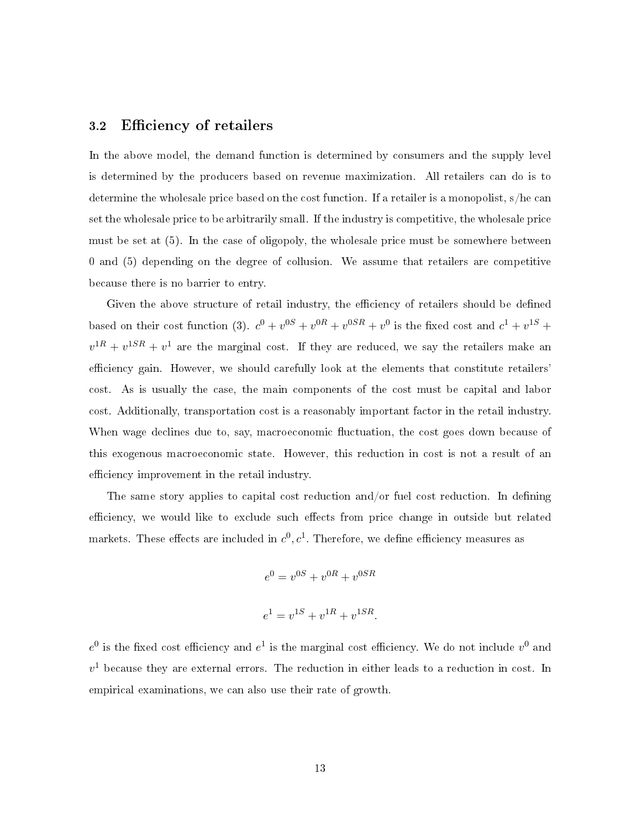#### 3.2 Efficiency of retailers

In the above model, the demand function is determined by consumers and the supply level is determined by the producers based on revenue maximization. All retailers can do is to determine the wholesale price based on the cost function. If a retailer is a monopolist, s/he can set the wholesale price to be arbitrarily small. If the industry is competitive, the wholesale price must be set at (5). In the case of oligopoly, the wholesale price must be somewhere between 0 and (5) depending on the degree of collusion. We assume that retailers are competitive because there is no barrier to entry.

Given the above structure of retail industry, the efficiency of retailers should be defined based on their cost function (3).  $c^0 + v^{0S} + v^{0R} + v^{0SR} + v^0$  is the fixed cost and  $c^1 + v^{1S} +$  $v^{1R} + v^{1SR} + v^{1}$  are the marginal cost. If they are reduced, we say the retailers make an efficiency gain. However, we should carefully look at the elements that constitute retailers' cost. As is usually the case, the main components of the cost must be capital and labor cost. Additionally, transportation cost is a reasonably important factor in the retail industry. When wage declines due to, say, macroeconomic fluctuation, the cost goes down because of this exogenous macroeconomic state. However, this reduction in cost is not a result of an efficiency improvement in the retail industry.

The same story applies to capital cost reduction and/or fuel cost reduction. In defining efficiency, we would like to exclude such effects from price change in outside but related markets. These effects are included in  $c^0, c^1$ . Therefore, we define efficiency measures as

$$
e^{0} = v^{0S} + v^{0R} + v^{0SR}
$$
  

$$
e^{1} = v^{1S} + v^{1R} + v^{1SR}.
$$

 $e^0$  is the fixed cost efficiency and  $e^1$  is the marginal cost efficiency. We do not include  $v^0$  and  $v<sup>1</sup>$  because they are external errors. The reduction in either leads to a reduction in cost. In empirical examinations, we can also use their rate of growth.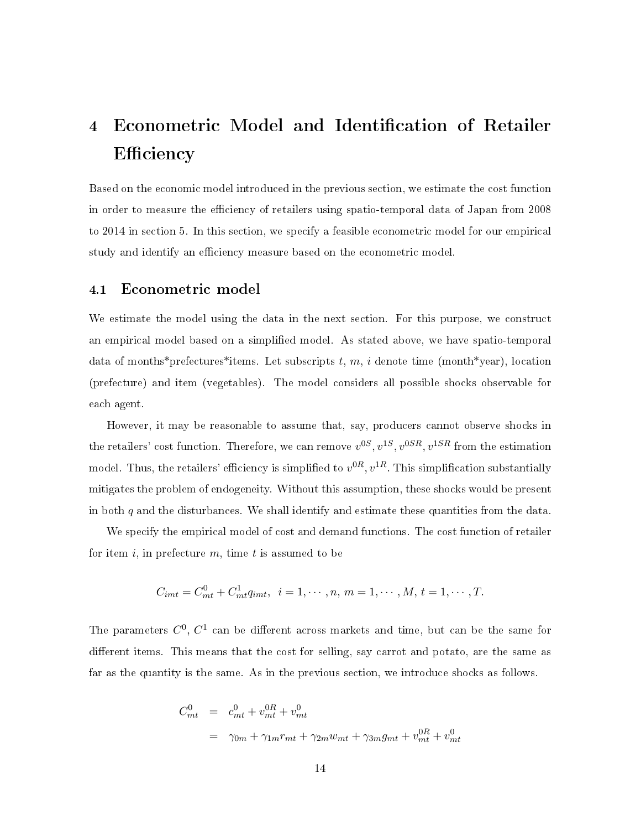# 4 Econometric Model and Identification of Retailer Efficiency

Based on the economic model introduced in the previous section, we estimate the cost function in order to measure the efficiency of retailers using spatio-temporal data of Japan from 2008 to 2014 in section 5. In this section, we specify a feasible econometric model for our empirical study and identify an efficiency measure based on the econometric model.

#### 4.1 Econometric model

We estimate the model using the data in the next section. For this purpose, we construct an empirical model based on a simplied model. As stated above, we have spatio-temporal data of months\*prefectures\*items. Let subscripts t, m, i denote time (month\*year), location (prefecture) and item (vegetables). The model considers all possible shocks observable for each agent.

However, it may be reasonable to assume that, say, producers cannot observe shocks in the retailers' cost function. Therefore, we can remove  $v^{0S}$ ,  $v^{1S}$ ,  $v^{0SR}$ ,  $v^{1SR}$  from the estimation model. Thus, the retailers' efficiency is simplified to  $v^{0R}, v^{1R}$ . This simplification substantially mitigates the problem of endogeneity. Without this assumption, these shocks would be present in both  $q$  and the disturbances. We shall identify and estimate these quantities from the data.

We specify the empirical model of cost and demand functions. The cost function of retailer for item i, in prefecture  $m$ , time t is assumed to be

$$
C_{imt} = C_{mt}^{0} + C_{mt}^{1} q_{imt}, \ \ i = 1, \cdots, n, \ m = 1, \cdots, M, \ t = 1, \cdots, T.
$$

The parameters  $C^0, C^1$  can be different across markets and time, but can be the same for different items. This means that the cost for selling, say carrot and potato, are the same as far as the quantity is the same. As in the previous section, we introduce shocks as follows.

$$
C_{mt}^{0} = c_{mt}^{0} + v_{mt}^{0R} + v_{mt}^{0}
$$
  
=  $\gamma_{0m} + \gamma_{1m}r_{mt} + \gamma_{2m}w_{mt} + \gamma_{3m}g_{mt} + v_{mt}^{0R} + v_{mt}^{0R}$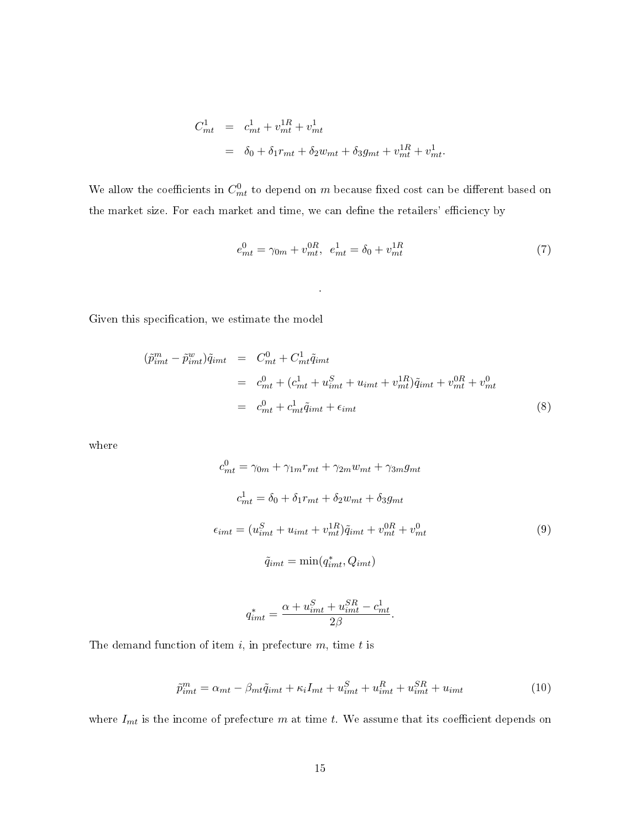$$
C_{mt}^{1} = c_{mt}^{1} + v_{mt}^{1R} + v_{mt}^{1}
$$
  
=  $\delta_0 + \delta_1 r_{mt} + \delta_2 w_{mt} + \delta_3 g_{mt} + v_{mt}^{1R} + v_{mt}^{1}$ .

We allow the coefficients in  $C_{mt}^0$  to depend on  $m$  because fixed cost can be different based on the market size. For each market and time, we can define the retailers' efficiency by

.

$$
e_{mt}^0 = \gamma_{0m} + v_{mt}^{0R}, \ \ e_{mt}^1 = \delta_0 + v_{mt}^{1R} \tag{7}
$$

Given this specification, we estimate the model

$$
(\tilde{p}_{imt}^m - \tilde{p}_{imt}^w)\tilde{q}_{imt} = C_{mt}^0 + C_{mt}^1 \tilde{q}_{imt}
$$
  

$$
= C_{mt}^0 + (c_{mt}^1 + u_{imt}^S + u_{imt} + v_{mt}^{1R})\tilde{q}_{imt} + v_{mt}^{0R} + v_{mt}^0
$$
  

$$
= c_{mt}^0 + c_{mt}^1 \tilde{q}_{imt} + \epsilon_{imt}
$$
 (8)

where

$$
c_{mt}^{0} = \gamma_{0m} + \gamma_{1m}r_{mt} + \gamma_{2m}w_{mt} + \gamma_{3m}g_{mt}
$$
  
\n
$$
c_{mt}^{1} = \delta_0 + \delta_1r_{mt} + \delta_2w_{mt} + \delta_3g_{mt}
$$
  
\n
$$
\epsilon_{imt} = (u_{imt}^{S} + u_{imt} + v_{mt}^{1R})\tilde{q}_{imt} + v_{mt}^{0R} + v_{mt}^{0}
$$
  
\n
$$
\tilde{q}_{imt} = \min(q_{imt}^{*}, Q_{imt})
$$
\n(9)

$$
q_{imt}^* = \frac{\alpha + u_{imt}^S + u_{imt}^{SR} - c_{mt}^1}{2\beta}.
$$

The demand function of item  $i$ , in prefecture  $m$ , time  $t$  is

$$
\tilde{p}_{imt}^{m} = \alpha_{mt} - \beta_{mt}\tilde{q}_{imt} + \kappa_i I_{mt} + u_{imt}^{S} + u_{imt}^{R} + u_{imt}^{SR} + u_{imt}
$$
\n(10)

where  $I_{mt}$  is the income of prefecture m at time t. We assume that its coefficient depends on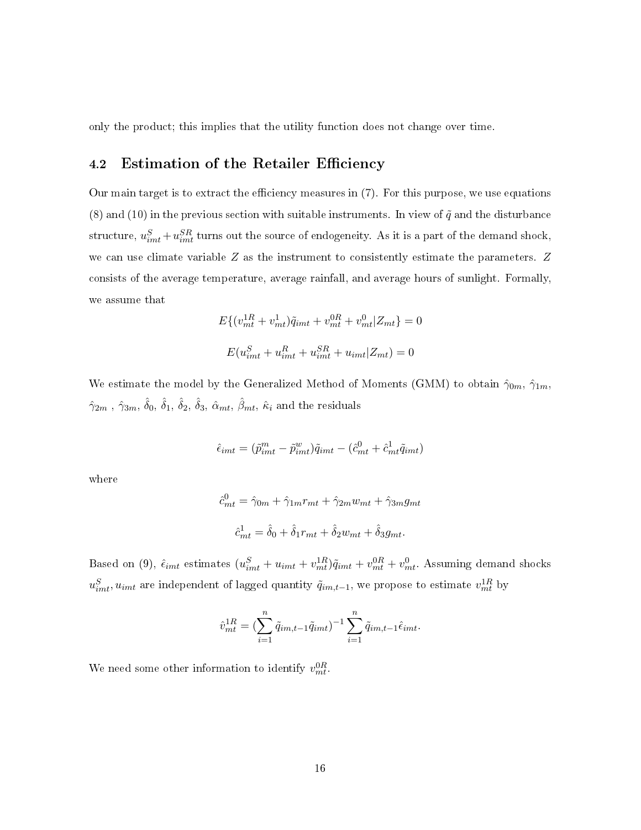only the product; this implies that the utility function does not change over time.

#### 4.2 Estimation of the Retailer Efficiency

Our main target is to extract the efficiency measures in  $(7)$ . For this purpose, we use equations (8) and (10) in the previous section with suitable instruments. In view of  $\tilde{q}$  and the disturbance structure,  $u_{imt}^S + u_{imt}^{SR}$  turns out the source of endogeneity. As it is a part of the demand shock, we can use climate variable Z as the instrument to consistently estimate the parameters. Z consists of the average temperature, average rainfall, and average hours of sunlight. Formally, we assume that

$$
E\{(v_{mt}^{1R} + v_{mt}^{1})\tilde{q}_{imt} + v_{mt}^{0R} + v_{mt}^{0}|Z_{mt}\} = 0
$$
  

$$
E(u_{imt}^{S} + u_{imt}^{R} + u_{imt}^{SR} + u_{imt}|Z_{mt}) = 0
$$

We estimate the model by the Generalized Method of Moments (GMM) to obtain  $\hat{\gamma}_{0m}, \hat{\gamma}_{1m}$ ,  $\hat{\gamma}_{2m}$  ,  $\hat{\gamma}_{3m}, \, \hat{\delta}_0, \, \hat{\delta}_1, \, \hat{\delta}_2, \, \hat{\delta}_3, \, \hat{\alpha}_{mt}, \, \hat{\beta}_{mt}, \, \hat{\kappa}_i$  and the residuals

$$
\hat{\epsilon}_{imt} = (\tilde{p}_{imt}^m - \tilde{p}_{imt}^w)\tilde{q}_{imt} - (\hat{c}_{mt}^0 + \hat{c}_{mt}^1\tilde{q}_{imt})
$$

where

$$
\hat{c}_{mt}^0 = \hat{\gamma}_{0m} + \hat{\gamma}_{1m}r_{mt} + \hat{\gamma}_{2m}w_{mt} + \hat{\gamma}_{3m}g_{mt}
$$

$$
\hat{c}_{mt}^1 = \hat{\delta}_0 + \hat{\delta}_1r_{mt} + \hat{\delta}_2w_{mt} + \hat{\delta}_3g_{mt}.
$$

Based on (9),  $\hat{\epsilon}_{imt}$  estimates  $(u_{imt}^S + u_{imt} + v_{mt}^{1R})\tilde{q}_{imt} + v_{mt}^{0R} + v_{mt}^0$ . Assuming demand shocks  $u_{imt}^{S}$ ,  $u_{imt}$  are independent of lagged quantity  $\tilde{q}_{im,t-1}$ , we propose to estimate  $v_{mt}^{1R}$  by

$$
\hat{v}_{mt}^{1R} = \left(\sum_{i=1}^{n} \tilde{q}_{im,t-1} \tilde{q}_{imt}\right)^{-1} \sum_{i=1}^{n} \tilde{q}_{im,t-1} \hat{\epsilon}_{imt}.
$$

We need some other information to identify  $v_{mt}^{0R}$ .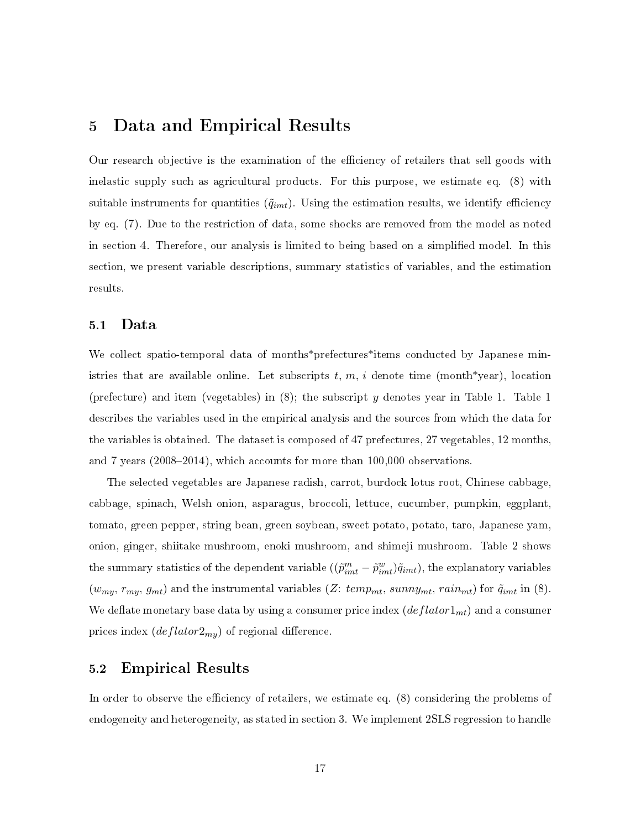## 5 Data and Empirical Results

Our research objective is the examination of the efficiency of retailers that sell goods with inelastic supply such as agricultural products. For this purpose, we estimate eq. (8) with suitable instruments for quantities  $(\tilde{q}_{int})$ . Using the estimation results, we identify efficiency by eq. (7). Due to the restriction of data, some shocks are removed from the model as noted in section 4. Therefore, our analysis is limited to being based on a simplified model. In this section, we present variable descriptions, summary statistics of variables, and the estimation results.

#### 5.1 Data

We collect spatio-temporal data of months\*prefectures\*items conducted by Japanese ministries that are available online. Let subscripts t, m, i denote time (month\*year), location (prefecture) and item (vegetables) in (8); the subscript y denotes year in Table 1. Table 1 describes the variables used in the empirical analysis and the sources from which the data for the variables is obtained. The dataset is composed of 47 prefectures, 27 vegetables, 12 months, and 7 years  $(2008-2014)$ , which accounts for more than  $100,000$  observations.

The selected vegetables are Japanese radish, carrot, burdock lotus root, Chinese cabbage, cabbage, spinach, Welsh onion, asparagus, broccoli, lettuce, cucumber, pumpkin, eggplant, tomato, green pepper, string bean, green soybean, sweet potato, potato, taro, Japanese yam, onion, ginger, shiitake mushroom, enoki mushroom, and shimeji mushroom. Table 2 shows the summary statistics of the dependent variable  $((\tilde{p}_{imt}^m - \tilde{p}_{imt}^w)\tilde{q}_{imt})$ , the explanatory variables  $(w_{my}, r_{my}, g_{mt})$  and the instrumental variables  $(Z: temp_{mt}, sunny_{mt}, rain_{mt})$  for  $\tilde{q}_{imt}$  in  $(8)$ . We deflate monetary base data by using a consumer price index  $\left(\frac{deflator1_{mt}}{\right)$  and a consumer prices index  $\left( deflator2_{my} \right)$  of regional difference.

#### 5.2 Empirical Results

In order to observe the efficiency of retailers, we estimate eq. (8) considering the problems of endogeneity and heterogeneity, as stated in section 3. We implement 2SLS regression to handle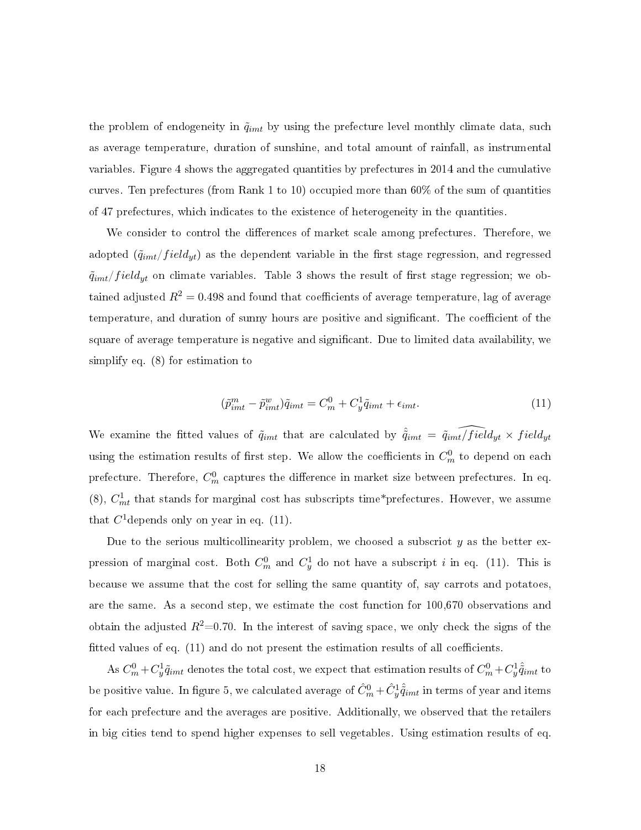the problem of endogeneity in  $\tilde{q}_{imt}$  by using the prefecture level monthly climate data, such as average temperature, duration of sunshine, and total amount of rainfall, as instrumental variables. Figure 4 shows the aggregated quantities by prefectures in 2014 and the cumulative curves. Ten prefectures (from Rank 1 to 10) occupied more than 60% of the sum of quantities of 47 prefectures, which indicates to the existence of heterogeneity in the quantities.

We consider to control the differences of market scale among prefectures. Therefore, we adopted  $(\tilde{q}_{imt}/field_{yt})$  as the dependent variable in the first stage regression, and regressed  $\tilde{q}_{imt}/field_{yt}$  on climate variables. Table 3 shows the result of first stage regression; we obtained adjusted  $R^2 = 0.498$  and found that coefficients of average temperature, lag of average temperature, and duration of sunny hours are positive and significant. The coefficient of the square of average temperature is negative and significant. Due to limited data availability, we simplify eq. (8) for estimation to

$$
(\tilde{p}_{imt}^m - \tilde{p}_{imt}^w)\tilde{q}_{imt} = C_m^0 + C_y^1 \tilde{q}_{imt} + \epsilon_{imt}.
$$
\n(11)

We examine the fitted values of  $\tilde{q}_{imt}$  that are calculated by  $\hat{\tilde{q}}_{imt} = \tilde{q}_{imt}/\tilde{field}_{yt} \times field_{yt}$ using the estimation results of first step. We allow the coefficients in  $C_m^0$  to depend on each prefecture. Therefore,  $C_m^0$  captures the difference in market size between prefectures. In eq. (8),  $C_{mt}^1$  that stands for marginal cost has subscripts time\*prefectures. However, we assume that  $C^1$  depends only on year in eq. (11).

Due to the serious multicollinearity problem, we choosed a subscript  $y$  as the better expression of marginal cost. Both  $C_m^0$  and  $C_y^1$  do not have a subscript i in eq. (11). This is because we assume that the cost for selling the same quantity of, say carrots and potatoes, are the same. As a second step, we estimate the cost function for 100,670 observations and obtain the adjusted  $R^2=0.70$ . In the interest of saving space, we only check the signs of the fitted values of eq.  $(11)$  and do not present the estimation results of all coefficients.

As  $C_m^0 + C_y^1 \tilde{q}_{imt}$  denotes the total cost, we expect that estimation results of  $C_m^0 + C_y^1 \hat{\tilde{q}}_{imt}$  to be positive value. In figure 5, we calculated average of  $\hat{C}^0_m+\hat{C}^1_y\hat{\tilde{q}}_{imt}$  in terms of year and items for each prefecture and the averages are positive. Additionally, we observed that the retailers in big cities tend to spend higher expenses to sell vegetables. Using estimation results of eq.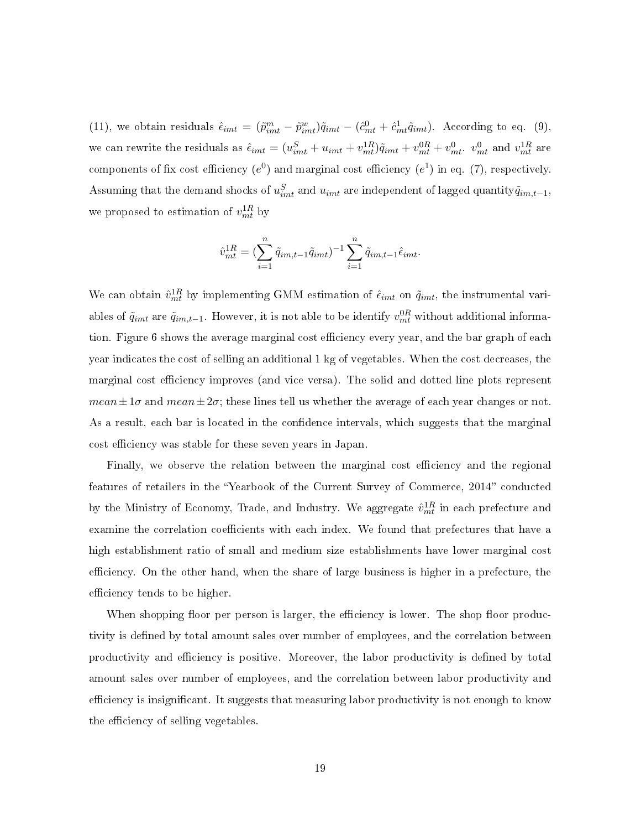(11), we obtain residuals  $\hat{\epsilon}_{imt} = (\tilde{p}_{imt}^m - \tilde{p}_{imt}^w)\tilde{q}_{imt} - (\hat{c}_{mt}^0 + \hat{c}_{mt}^1\tilde{q}_{imt})$ . According to eq. (9), we can rewrite the residuals as  $\hat{\epsilon}_{imt} = (u_{imt}^S + u_{imt} + v_{mt}^{1R})\tilde{q}_{imt} + v_{mt}^{0R} + v_{mt}^0$   $v_{mt}^0$  and  $v_{mt}^{1R}$  are components of fix cost efficiency  $(e^0)$  and marginal cost efficiency  $(e^1)$  in eq. (7), respectively. Assuming that the demand shocks of  $u_{imt}^S$  and  $u_{imt}$  are independent of lagged quantity $\tilde{q}_{im,t-1}$ , we proposed to estimation of  $v_{mt}^{1R}$  by

$$
\hat{v}_{mt}^{1R} = \left(\sum_{i=1}^n \tilde{q}_{im,t-1} \tilde{q}_{imt}\right)^{-1} \sum_{i=1}^n \tilde{q}_{im,t-1} \hat{\epsilon}_{imt}.
$$

We can obtain  $\hat{v}_{mt}^{1R}$  by implementing GMM estimation of  $\hat{\epsilon}_{imt}$  on  $\tilde{q}_{imt}$ , the instrumental variables of  $\tilde{q}_{imt}$  are  $\tilde{q}_{im,t-1}$ . However, it is not able to be identify  $v_{mt}^{0R}$  without additional information. Figure 6 shows the average marginal cost efficiency every year, and the bar graph of each year indicates the cost of selling an additional 1 kg of vegetables. When the cost decreases, the marginal cost efficiency improves (and vice versa). The solid and dotted line plots represent mean  $\pm 1\sigma$  and mean  $\pm 2\sigma$ ; these lines tell us whether the average of each year changes or not. As a result, each bar is located in the confidence intervals, which suggests that the marginal cost efficiency was stable for these seven years in Japan.

Finally, we observe the relation between the marginal cost efficiency and the regional features of retailers in the "Yearbook of the Current Survey of Commerce, 2014" conducted by the Ministry of Economy, Trade, and Industry. We aggregate  $\hat{v}_{mt}^{1R}$  in each prefecture and examine the correlation coefficients with each index. We found that prefectures that have a high establishment ratio of small and medium size establishments have lower marginal cost efficiency. On the other hand, when the share of large business is higher in a prefecture, the efficiency tends to be higher.

When shopping floor per person is larger, the efficiency is lower. The shop floor productivity is defined by total amount sales over number of employees, and the correlation between productivity and efficiency is positive. Moreover, the labor productivity is defined by total amount sales over number of employees, and the correlation between labor productivity and efficiency is insignificant. It suggests that measuring labor productivity is not enough to know the efficiency of selling vegetables.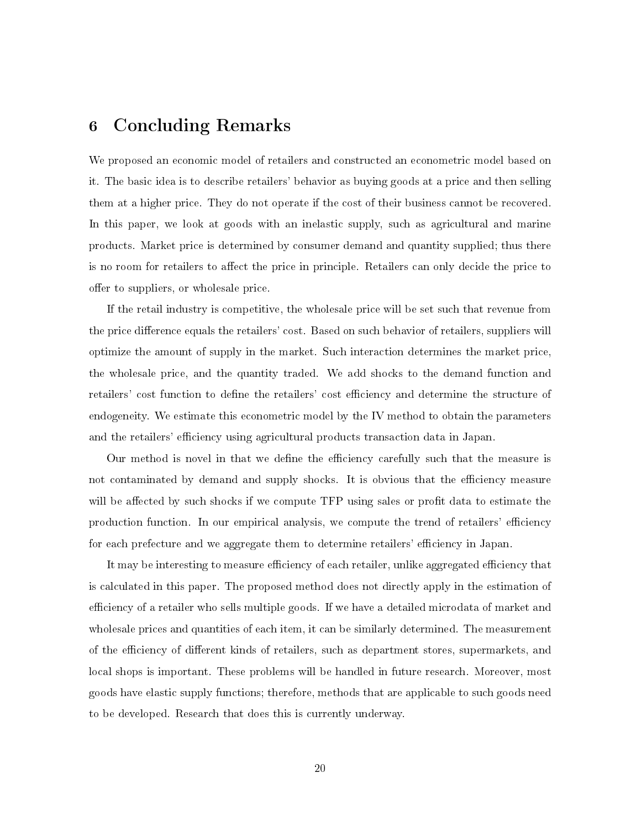## 6 Concluding Remarks

We proposed an economic model of retailers and constructed an econometric model based on it. The basic idea is to describe retailers' behavior as buying goods at a price and then selling them at a higher price. They do not operate if the cost of their business cannot be recovered. In this paper, we look at goods with an inelastic supply, such as agricultural and marine products. Market price is determined by consumer demand and quantity supplied; thus there is no room for retailers to affect the price in principle. Retailers can only decide the price to offer to suppliers, or wholesale price.

If the retail industry is competitive, the wholesale price will be set such that revenue from the price difference equals the retailers' cost. Based on such behavior of retailers, suppliers will optimize the amount of supply in the market. Such interaction determines the market price, the wholesale price, and the quantity traded. We add shocks to the demand function and retailers' cost function to define the retailers' cost efficiency and determine the structure of endogeneity. We estimate this econometric model by the IV method to obtain the parameters and the retailers' efficiency using agricultural products transaction data in Japan.

Our method is novel in that we define the efficiency carefully such that the measure is not contaminated by demand and supply shocks. It is obvious that the efficiency measure will be affected by such shocks if we compute TFP using sales or profit data to estimate the production function. In our empirical analysis, we compute the trend of retailers' efficiency for each prefecture and we aggregate them to determine retailers' efficiency in Japan.

It may be interesting to measure efficiency of each retailer, unlike aggregated efficiency that is calculated in this paper. The proposed method does not directly apply in the estimation of efficiency of a retailer who sells multiple goods. If we have a detailed microdata of market and wholesale prices and quantities of each item, it can be similarly determined. The measurement of the efficiency of different kinds of retailers, such as department stores, supermarkets, and local shops is important. These problems will be handled in future research. Moreover, most goods have elastic supply functions; therefore, methods that are applicable to such goods need to be developed. Research that does this is currently underway.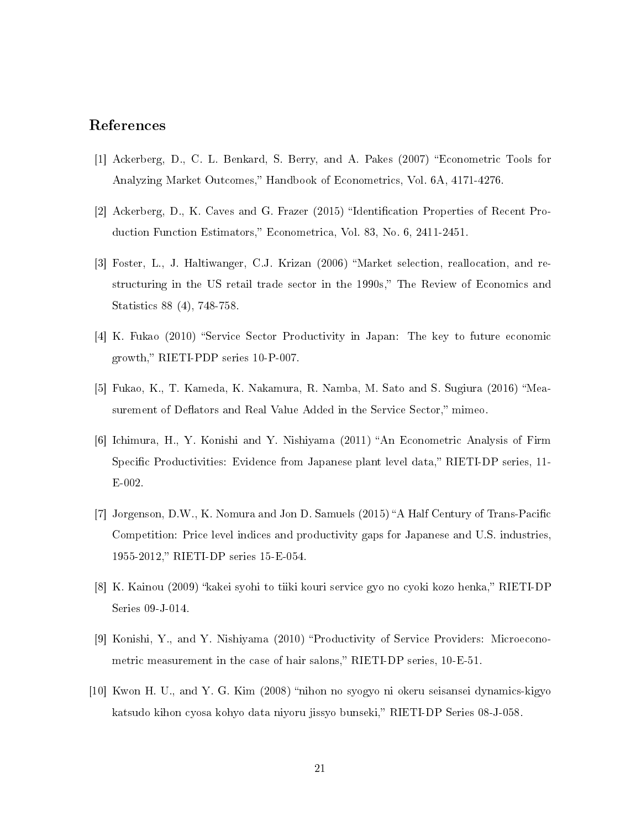#### References

- [1] Ackerberg, D., C. L. Benkard, S. Berry, and A. Pakes (2007) Econometric Tools for Analyzing Market Outcomes," Handbook of Econometrics, Vol. 6A, 4171-4276.
- [2] Ackerberg, D., K. Caves and G. Frazer (2015) "Identification Properties of Recent Production Function Estimators," Econometrica, Vol. 83, No. 6, 2411-2451.
- [3] Foster, L., J. Haltiwanger, C.J. Krizan (2006) "Market selection, reallocation, and restructuring in the US retail trade sector in the 1990s," The Review of Economics and Statistics 88 (4), 748-758.
- [4] K. Fukao (2010) "Service Sector Productivity in Japan: The key to future economic growth," RIETI-PDP series 10-P-007.
- [5] Fukao, K., T. Kameda, K. Nakamura, R. Namba, M. Sato and S. Sugiura (2016) "Measurement of Deflators and Real Value Added in the Service Sector," mimeo.
- $[6]$  Ichimura, H., Y. Konishi and Y. Nishiyama  $(2011)$  "An Econometric Analysis of Firm Specific Productivities: Evidence from Japanese plant level data," RIETI-DP series, 11-E-002.
- [7] Jorgenson, D.W., K. Nomura and Jon D. Samuels  $(2015)$  "A Half Century of Trans-Pacific Competition: Price level indices and productivity gaps for Japanese and U.S. industries, 1955-2012, RIETI-DP series 15-E-054.
- [8] K. Kainou (2009) "kakei syohi to tiiki kouri service gyo no cyoki kozo henka," RIETI-DP Series 09-J-014.
- [9] Konishi, Y., and Y. Nishiyama (2010) "Productivity of Service Providers: Microeconometric measurement in the case of hair salons," RIETI-DP series,  $10$ -E-51.
- [10] Kwon H. U., and Y. G. Kim (2008) "nihon no syogyo ni okeru seisansei dynamics-kigyo katsudo kihon cyosa kohyo data niyoru jissyo bunseki," RIETI-DP Series 08-J-058.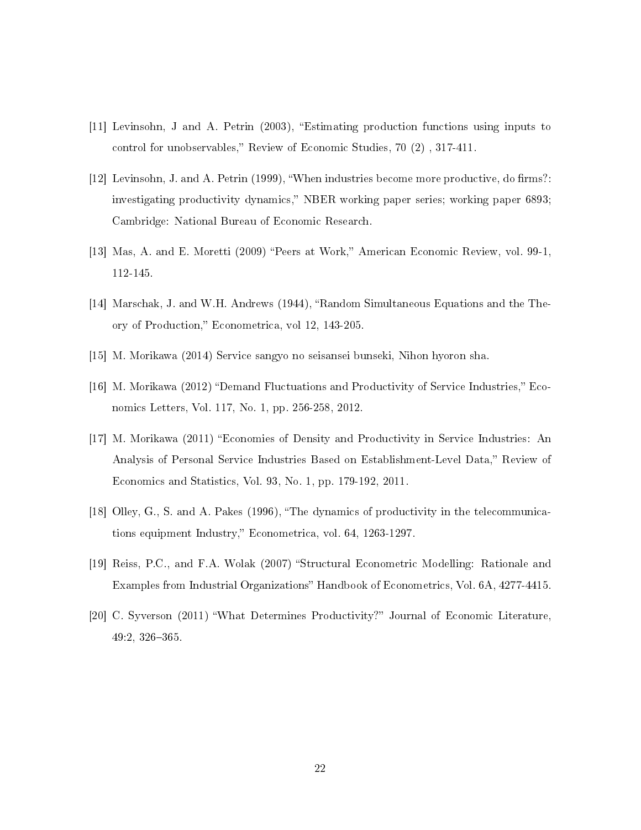- [11] Levinsohn, J and A. Petrin (2003), "Estimating production functions using inputs to control for unobservables," Review of Economic Studies,  $70(2)$ ,  $317-411$ .
- [12] Levinsohn, J. and A. Petrin (1999), "When industries become more productive, do firms?: investigating productivity dynamics," NBER working paper series; working paper 6893; Cambridge: National Bureau of Economic Research.
- [13] Mas, A. and E. Moretti (2009) "Peers at Work," American Economic Review, vol. 99-1, 112-145.
- [14] Marschak, J. and W.H. Andrews (1944), "Random Simultaneous Equations and the Theory of Production," Econometrica, vol 12, 143-205.
- [15] M. Morikawa (2014) Service sangyo no seisansei bunseki, Nihon hyoron sha.
- [16] M. Morikawa  $(2012)$  "Demand Fluctuations and Productivity of Service Industries," Economics Letters, Vol. 117, No. 1, pp. 256-258, 2012.
- [17] M. Morikawa (2011) Economies of Density and Productivity in Service Industries: An Analysis of Personal Service Industries Based on Establishment-Level Data," Review of Economics and Statistics, Vol. 93, No. 1, pp. 179-192, 2011.
- [18] Olley, G., S. and A. Pakes (1996), The dynamics of productivity in the telecommunications equipment Industry," Econometrica, vol. 64, 1263-1297.
- [19] Reiss, P.C., and F.A. Wolak (2007) "Structural Econometric Modelling: Rationale and Examples from Industrial Organizations" Handbook of Econometrics, Vol. 6A, 4277-4415.
- [20] C. Syverson (2011) "What Determines Productivity?" Journal of Economic Literature,  $49:2, 326 - 365.$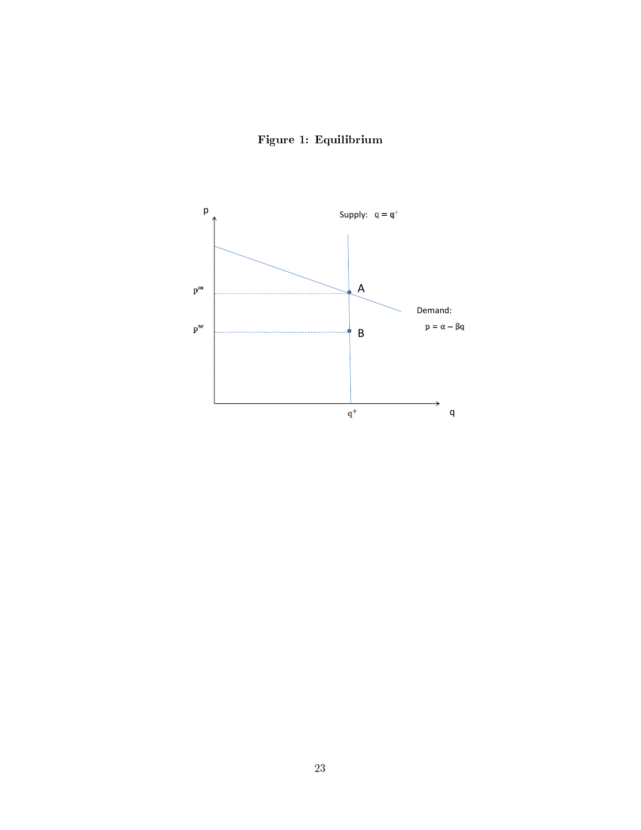

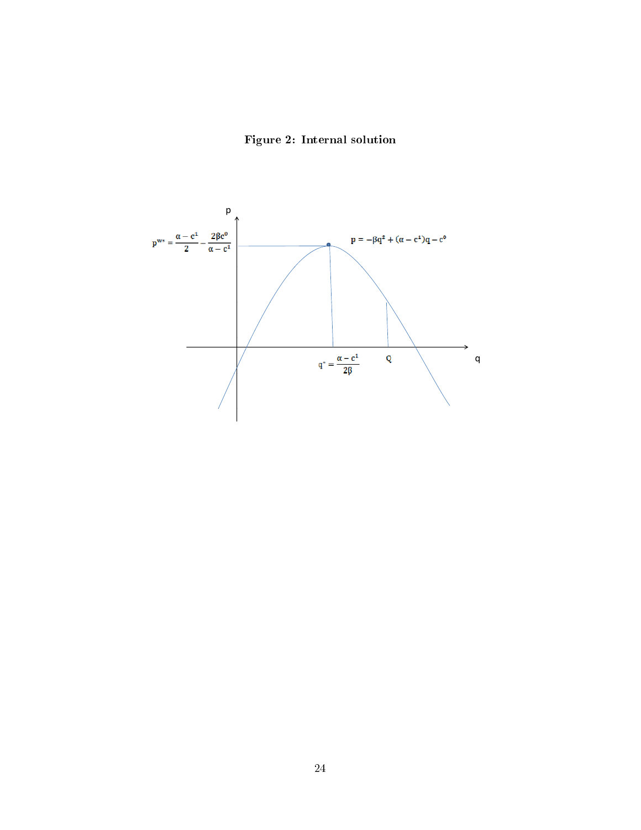Figure 2: Internal solution

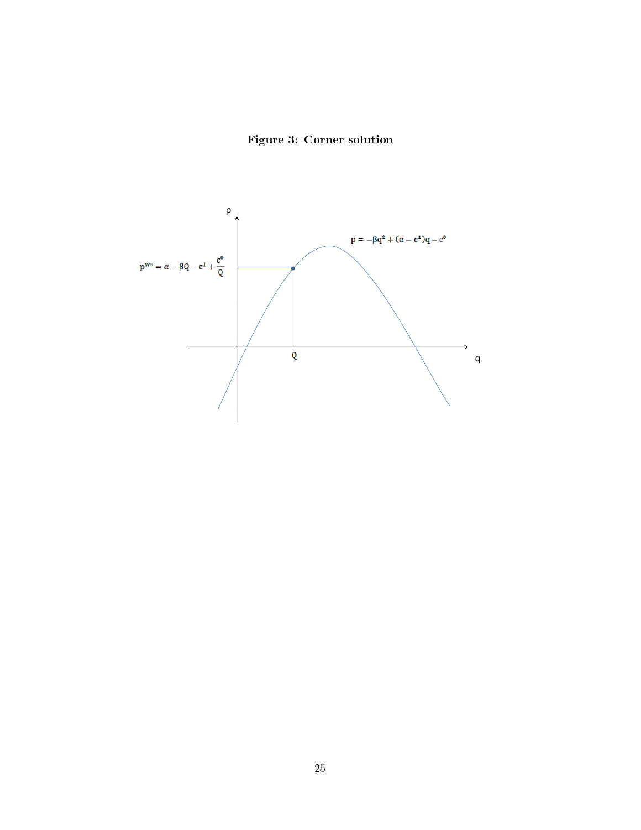

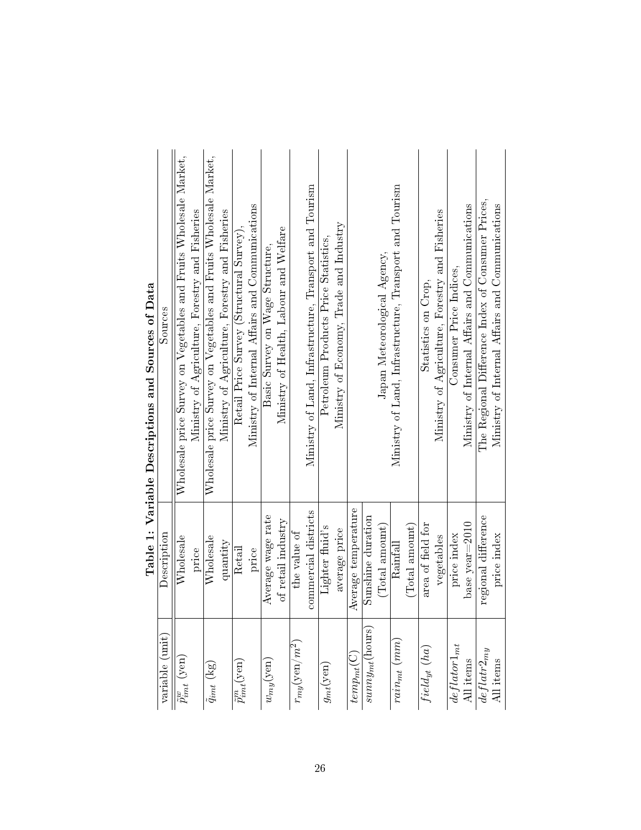|                                              |                      | Table 1: Variable Descriptions and Sources of Data                |
|----------------------------------------------|----------------------|-------------------------------------------------------------------|
| variable (unit)                              | Description          | Sources                                                           |
| $\tilde{p}^w_{imt}$ (yen)                    | Wholesale            | Wholesale price Survey on Vegetables and Fruits Wholesale Market, |
|                                              | price                | Ministry of Agriculture, Forestry and Fisheries                   |
| $\tilde{q}_{imt}$ $\left(\mathrm{kg}\right)$ | Wholesale            | Wholesale price Survey on Vegetables and Fruits Wholesale Market, |
|                                              | quantity             | Ministry of Agriculture, Forestry and Fisheries                   |
| $\tilde{p}^m_{imt}(\text{yen})$              | Retail               | Retail Price Survey (Structural Survey).                          |
|                                              | price                | Ministry of Internal Affairs and Communications                   |
| $w_{my}(\text{yen})$                         | Average wage rate    | Basic Survey on Wage Structure,                                   |
|                                              | of retail industry   | Ministry of Health, Labour and Welfare                            |
| $r_{my}({\rm yen}/m^2)$                      | the value of         |                                                                   |
|                                              | commercial districts | Ministry of Land, Infrastructure, Transport and Tourism           |
| $g_{mt}(\mathrm{yen})$                       | Lighter fluid's      | Petroleum Products Price Statistics.                              |
|                                              | average price        | Ministry of Economy, Trade and Industry                           |
| $temp_{mt}(C)$                               | Average temperature  |                                                                   |
| $summy_{mt}(\mathrm{hours})$                 | Sunshine duration    |                                                                   |
|                                              | (Total amount)       | Japan Meteorological Agency,                                      |
| $rain_{mt}(mm)$                              | Rainfall             | Ministry of Land, Infrastructure, Transport and Tourism           |
|                                              | (Total amount)       |                                                                   |
| $field_{yt}\ (ha)$                           | area of field for    | Statistics on Crop,                                               |
|                                              | vegetables           | Ministry of Agriculture, Forestry and Fisheries                   |
| $\frac{deftator1_{mt}}{All \text{ items}}$   | price index          | Consumer Price Indices,                                           |
|                                              | base year=2010       | Ministry of Internal Affairs and Communications                   |
| $deflat2_{my}$                               | regional difference  | The Regional Difference Index of Consumer Prices,                 |
| All items                                    | price index          | Ministry of Internal Affairs and Communications                   |
|                                              |                      |                                                                   |

| l                                                    |
|------------------------------------------------------|
| l<br>$\mathbf$<br>֠                                  |
| l<br>Ì                                               |
| l<br>į                                               |
| ֚֚֡                                                  |
| ŀ                                                    |
| ֖֖֖֖֖ׅׅ֚֚֚֚֚֚֚֚֚֚֚֚֚֬֝֝֓֕֓֡֡֡֡֬֝֬֓֡֬֝֬֓֓֞֓֡֬֓֓֬<br>ļ |
|                                                      |
|                                                      |
| ı<br>I                                               |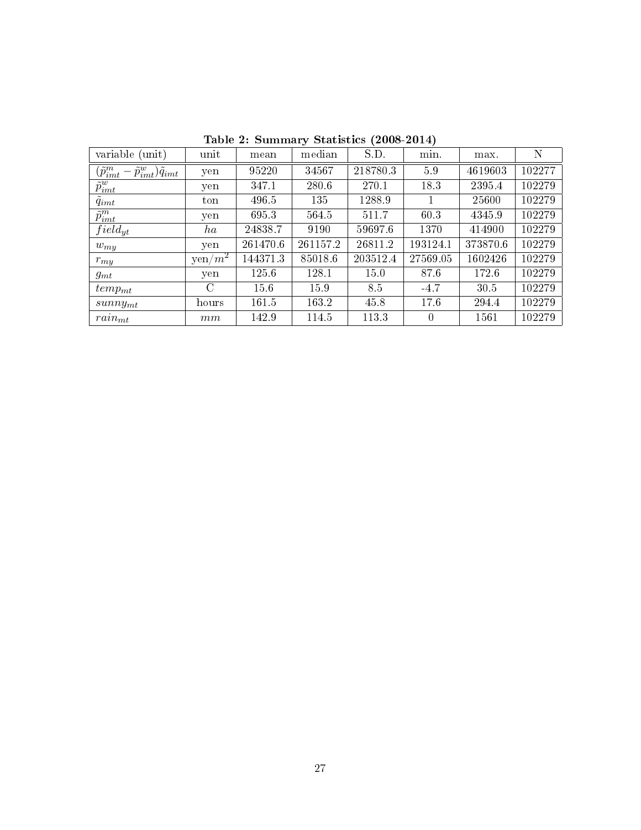| variable (unit)                                        | unit                    | mean     | median   | S.D.     | min.     | max.     | N      |
|--------------------------------------------------------|-------------------------|----------|----------|----------|----------|----------|--------|
| $(\tilde p_{imt}^m - \tilde p_{imt}^w) \tilde q_{imt}$ | yen                     | 95220    | 34567    | 218780.3 | 59       | 4619603  | 102277 |
| $\tilde{p}^w_{imt}$                                    | yen                     | 347.1    | 280.6    | 270.1    | 18.3     | 2395.4   | 102279 |
| $q_{imt}$                                              | ton                     | 496.5    | 135      | 1288.9   |          | 25600    | 102279 |
| $\tilde{p}^m_{imt}$                                    | yen                     | 695.3    | 564.5    | 511.7    | 60.3     | 4345.9   | 102279 |
| $field_{yt}$                                           | ha                      | 24838.7  | 9190     | 59697.6  | 1370     | 414900   | 102279 |
| $w_{my}$                                               | yen                     | 261470.6 | 261157.2 | 26811.2  | 193124.1 | 373870.6 | 102279 |
| $r_{my}$                                               | $\sqrt{\text{yen}/m^2}$ | 144371.3 | 85018.6  | 203512.4 | 27569.05 | 1602426  | 102279 |
| $g_{mt}$                                               | yen                     | 125.6    | 128.1    | 15.0     | 87.6     | 172.6    | 102279 |
| $temp_{mt}$                                            | C                       | 15.6     | 15.9     | 8.5      | $-4.7$   | 30.5     | 102279 |
| $sunny_{mt}$                                           | hours                   | 161.5    | 163.2    | 45.8     | 17.6     | 294.4    | 102279 |
| $rain_{mt}$                                            | $\,mm$                  | 142.9    | 114.5    | 113.3    | $\Omega$ | 1561     | 102279 |

Table 2: Summary Statistics (2008-2014)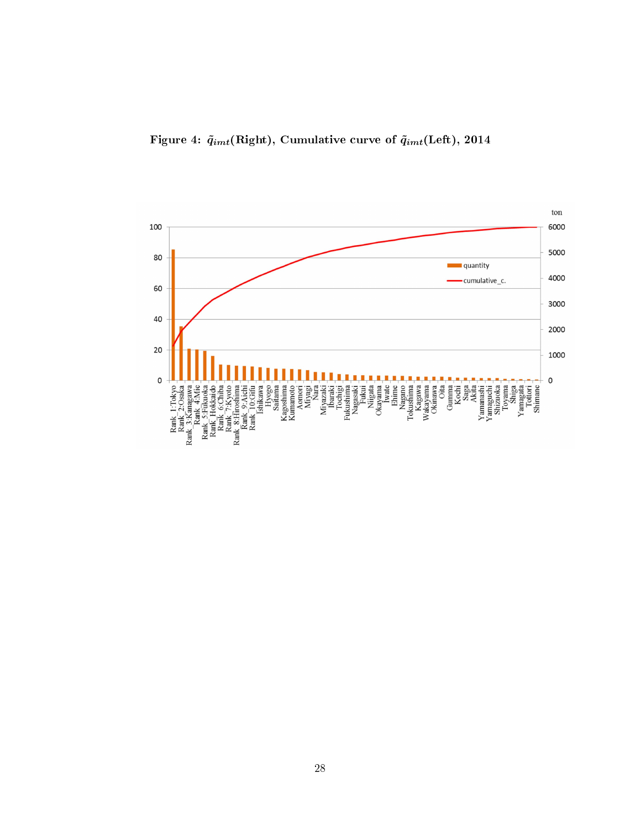

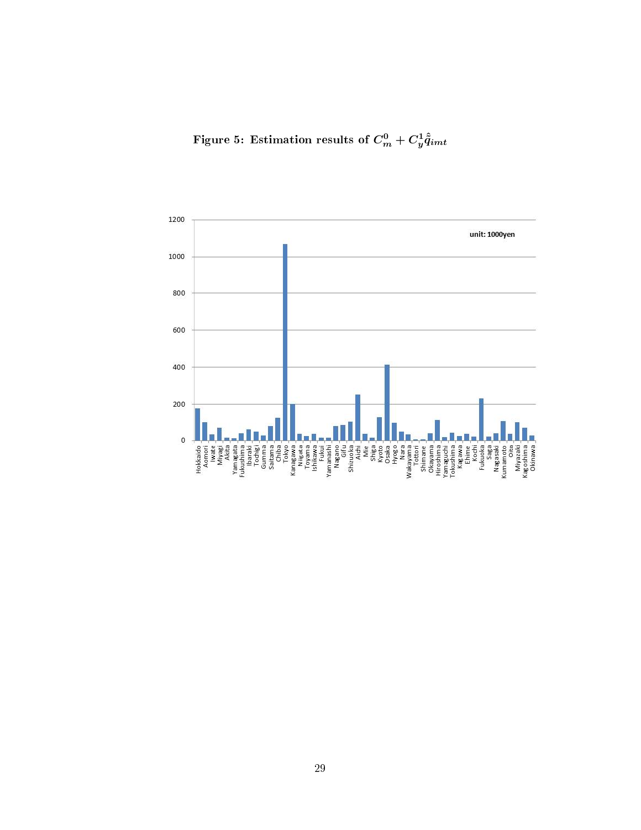Figure 5: Estimation results of  $C_m^0+C_y^1\hat{\tilde q}_{imt}$ 

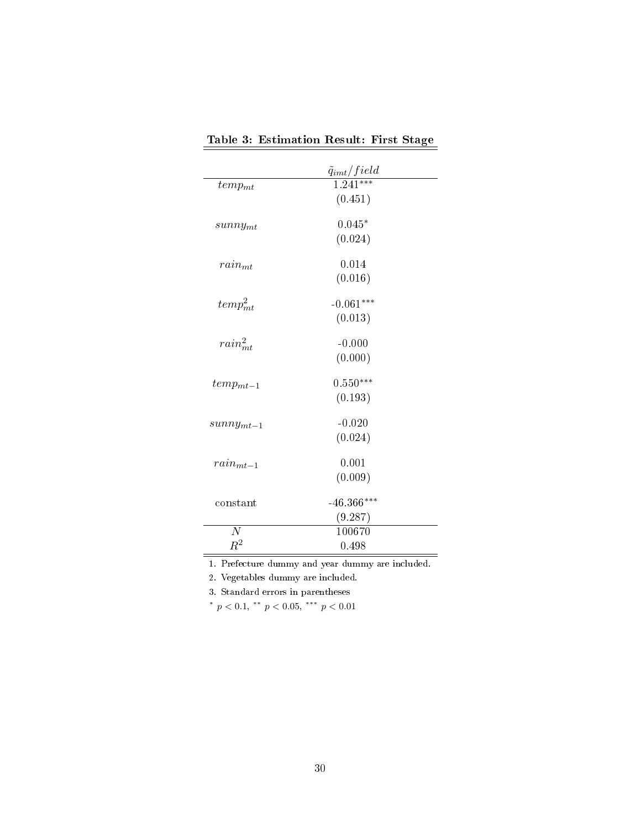|                         | $\frac{\tilde{q}_{imt}/field}{1.241***}$ |
|-------------------------|------------------------------------------|
| $temp_{mt}$             | (0.451)                                  |
| $sunny_{mt}$            | $0.045*$<br>(0.024)                      |
| $rain_{mt}$             | 0.014<br>(0.016)                         |
| $temp_{mt}^2$           | $-0.061***$<br>(0.013)                   |
| $rain_{mt}^2$           | $-0.000$<br>(0.000)                      |
| $temp_{mt-1}$           | $0.550***$<br>(0.193)                    |
| $summy_{mt-1}$          | $-0.020$<br>(0.024)                      |
| $rain_{mt-1}$           | 0.001<br>(0.009)                         |
| constant                | $-46.366***$<br>(9.287)                  |
| $\overline{N}$<br>$R^2$ | 100670<br>0.498                          |

Table 3: Estimation Result: First Stage

1. Prefecture dummy and year dummy are included.

2. Vegetables dummy are included.

3. Standard errors in parentheses

\*  $p < 0.1$ , \*\*  $p < 0.05$ , \*\*\*  $p < 0.01$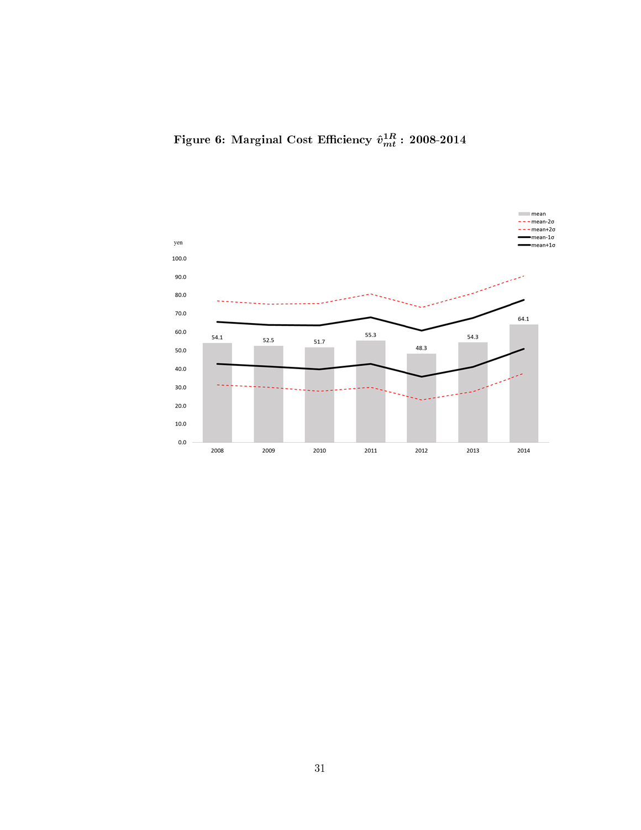Figure 6: Marginal Cost Efficiency  $\hat{v}_{mt}^{1R}$  : 2008-2014